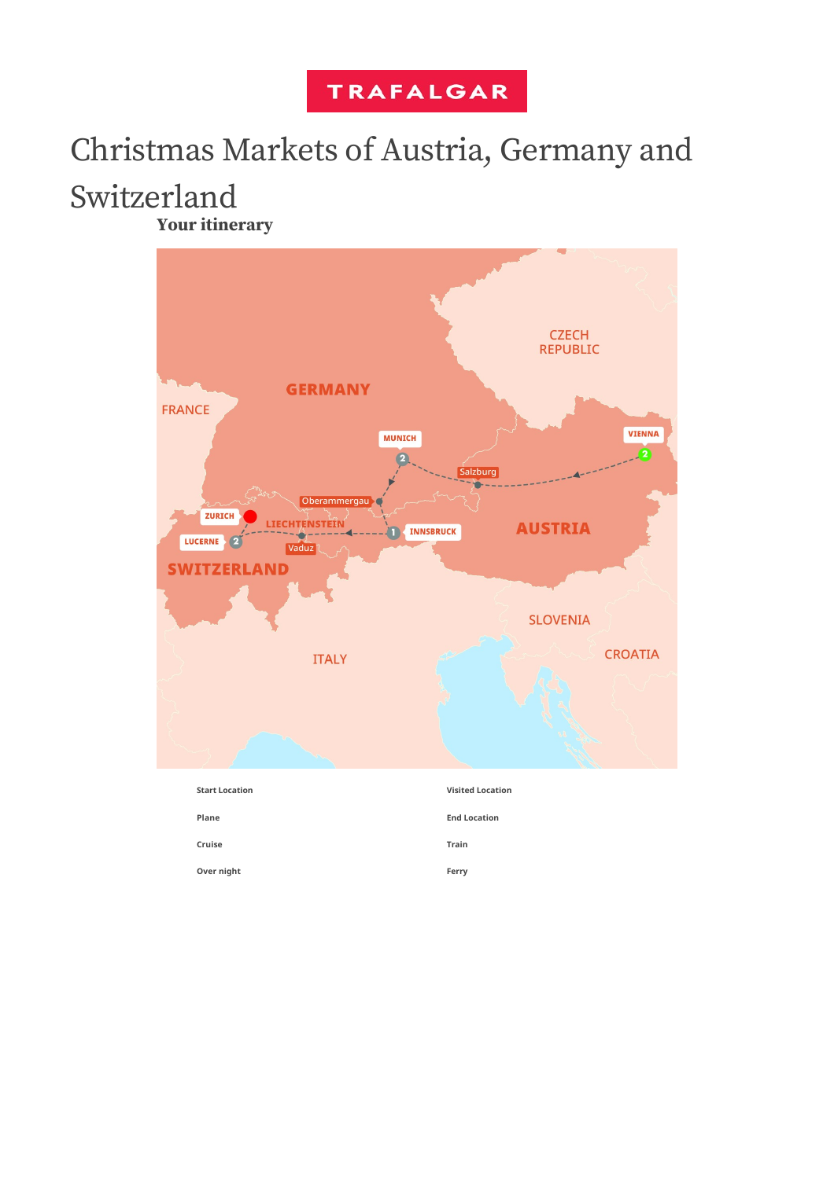## **TRAFALGAR**

# Christmas Markets of Austria, Germany and

## Switzerland

**Your itinerary**

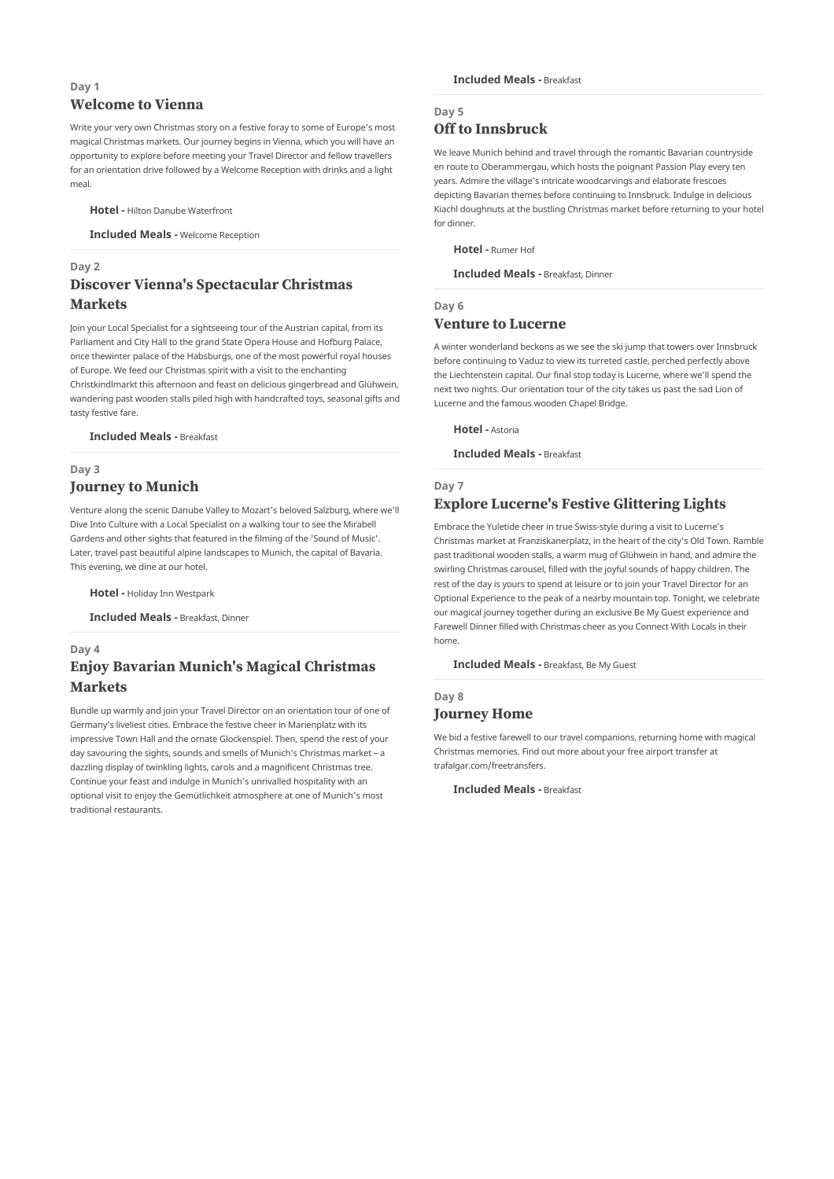## **Day 1 Welcome to Vienna**

Write your very own Christmas story on a festive foray to some of Europe's most magical Christmas markets. Our journey begins in Vienna, which you will have an opportunity to explore before meeting your Travel Director and fellow travellers for an orientation drive followed by a Welcome Reception with drinks and a light meal.

**Hotel -** Hilton Danube Waterfront

**Included Meals -** Welcome Reception

## **Day 2 Discover Vienna's Spectacular Christmas Markets**

Join your Local Specialist for a sightseeing tour of the Austrian capital, from its Parliament and City Hall to the grand State Opera House and Hofburg Palace, once thewinter palace of the Habsburgs, one of the most powerful royal houses of Europe. We feed our Christmas spirit with a visit to the enchanting Christkindlmarkt this afternoon and feast on delicious gingerbread and Glühwein, wandering past wooden stalls piled high with handcrafted toys, seasonal gifts and tasty festive fare.

**Included Meals -** Breakfast

## **Day 3 Journey to Munich**

Venture along the scenic Danube Valley to Mozart's beloved Salzburg, where we'll Dive Into Culture with a Local Specialist on a walking tour to see the Mirabell Gardens and other sights that featured in the filming of the 'Sound of Music'. Later, travel past beautiful alpine landscapes to Munich, the capital of Bavaria. This evening, we dine at our hotel.

**Hotel -** Holiday Inn Westpark

**Included Meals -** Breakfast, Dinner

#### **Day 4**

## **Enjoy Bavarian Munich's Magical Christmas Markets**

Bundle up warmly and join your Travel Director on an orientation tour of one of Germany's liveliest cities. Embrace the festive cheer in Marienplatz with its impressive Town Hall and the ornate Glockenspiel. Then, spend the rest of your day savouring the sights, sounds and smells of Munich's Christmas market – a dazzling display of twinkling lights, carols and a magnificent Christmas tree. Continue your feast and indulge in Munich's unrivalled hospitality with an optional visit to enjoy the Gemütlichkeit atmosphere at one of Munich's most traditional restaurants.

## **Day 5 Off to Innsbruck**

We leave Munich behind and travel through the romantic Bavarian countryside en route to Oberammergau, which hosts the poignant Passion Play every ten years. Admire the village's intricate woodcarvings and elaborate frescoes depicting Bavarian themes before continuing to Innsbruck. Indulge in delicious Kiachl doughnuts at the bustling Christmas market before returning to your hotel for dinner.

**Hotel -** Rumer Hof

**Included Meals -** Breakfast, Dinner

## **Day 6 Venture to Lucerne**

A winter wonderland beckons as we see the ski jump that towers over Innsbruck before continuing to Vaduz to view its turreted castle, perched perfectly above the Liechtenstein capital. Our final stop today is Lucerne, where we'll spend the next two nights. Our orientation tour of the city takes us past the sad Lion of Lucerne and the famous wooden Chapel Bridge.

**Hotel -** Astoria

**Included Meals -** Breakfast

## **Day 7 Explore Lucerne's Festive Glittering Lights**

Embrace the Yuletide cheer in true Swiss-style during a visit to Lucerne's Christmas market at Franziskanerplatz, in the heart of the city's Old Town. Ramble past traditional wooden stalls, a warm mug of Glühwein in hand, and admire the swirling Christmas carousel, filled with the joyful sounds of happy children. The rest of the day is yours to spend at leisure or to join your Travel Director for an Optional Experience to the peak of a nearby mountain top. Tonight, we celebrate our magical journey together during an exclusive Be My Guest experience and Farewell Dinner filled with Christmas cheer as you Connect With Locals in their home.

**Included Meals -** Breakfast, Be My Guest

### **Day 8 Journey Home**

We bid a festive farewell to our travel companions, returning home with magical Christmas memories. Find out more about your free airport transfer at trafalgar.com/freetransfers.

**Included Meals -** Breakfast